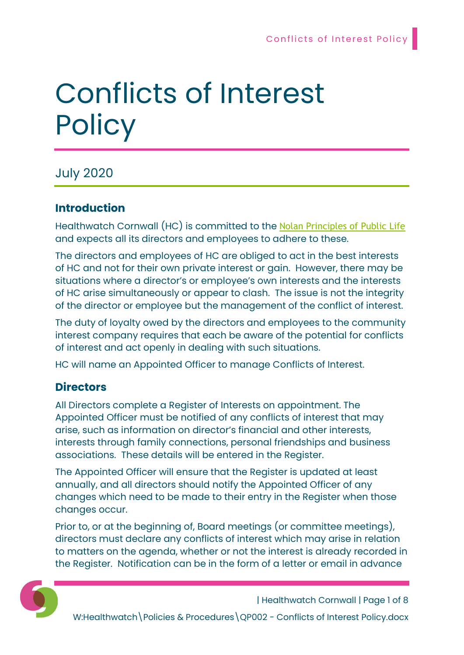# Conflicts of Interest **Policy**

# July 2020

## Introduction

Healthwatch Cornwall (HC) is committed to the Nolan Principles of Public Life and expects all its directors and employees to adhere to these.

The directors and employees of HC are obliged to act in the best interests of HC and not for their own private interest or gain. However, there may be situations where a director's or employee's own interests and the interests of HC arise simultaneously or appear to clash. The issue is not the integrity of the director or employee but the management of the conflict of interest.

The duty of loyalty owed by the directors and employees to the community interest company requires that each be aware of the potential for conflicts of interest and act openly in dealing with such situations.

HC will name an Appointed Officer to manage Conflicts of Interest.

# **Directors**

All Directors complete a Register of Interests on appointment. The Appointed Officer must be notified of any conflicts of interest that may arise, such as information on director's financial and other interests, interests through family connections, personal friendships and business associations. These details will be entered in the Register.

The Appointed Officer will ensure that the Register is updated at least annually, and all directors should notify the Appointed Officer of any changes which need to be made to their entry in the Register when those changes occur.

Prior to, or at the beginning of, Board meetings (or committee meetings), directors must declare any conflicts of interest which may arise in relation to matters on the agenda, whether or not the interest is already recorded in the Register. Notification can be in the form of a letter or email in advance



| Healthwatch Cornwall | Page 1 of 8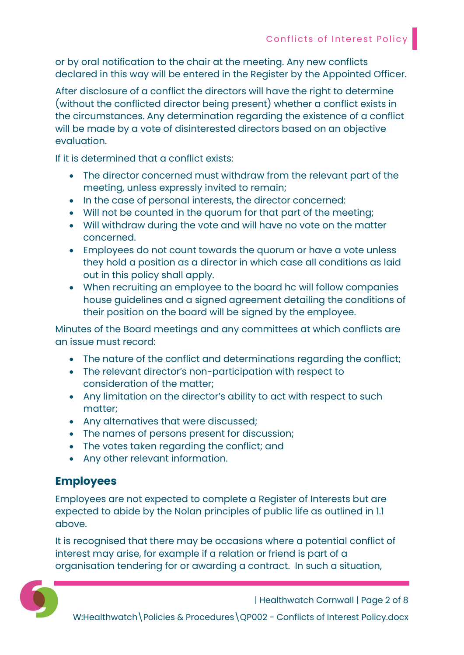or by oral notification to the chair at the meeting. Any new conflicts declared in this way will be entered in the Register by the Appointed Officer.

After disclosure of a conflict the directors will have the right to determine (without the conflicted director being present) whether a conflict exists in the circumstances. Any determination regarding the existence of a conflict will be made by a vote of disinterested directors based on an objective evaluation.

If it is determined that a conflict exists:

- The director concerned must withdraw from the relevant part of the meeting, unless expressly invited to remain;
- In the case of personal interests, the director concerned:
- Will not be counted in the quorum for that part of the meeting;
- Will withdraw during the vote and will have no vote on the matter concerned.
- Employees do not count towards the quorum or have a vote unless they hold a position as a director in which case all conditions as laid out in this policy shall apply.
- When recruiting an employee to the board hc will follow companies house guidelines and a signed agreement detailing the conditions of their position on the board will be signed by the employee.

Minutes of the Board meetings and any committees at which conflicts are an issue must record:

- The nature of the conflict and determinations regarding the conflict;
- The relevant director's non-participation with respect to consideration of the matter;
- Any limitation on the director's ability to act with respect to such matter;
- Any alternatives that were discussed;
- The names of persons present for discussion;
- The votes taken regarding the conflict; and
- Any other relevant information.

### Employees

Employees are not expected to complete a Register of Interests but are expected to abide by the Nolan principles of public life as outlined in 1.1 above.

It is recognised that there may be occasions where a potential conflict of interest may arise, for example if a relation or friend is part of a organisation tendering for or awarding a contract. In such a situation,



| Healthwatch Cornwall | Page 2 of 8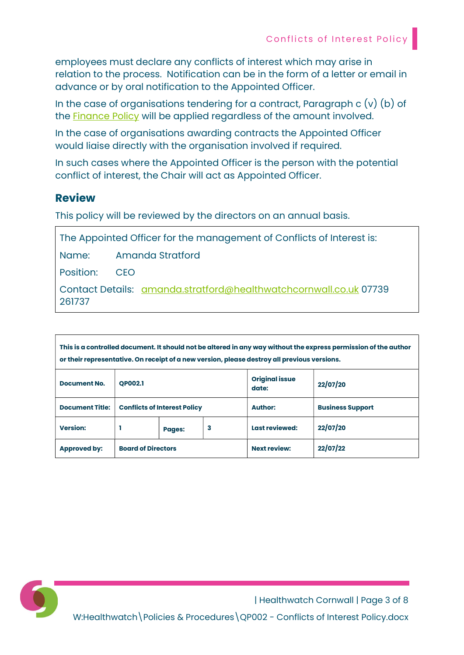employees must declare any conflicts of interest which may arise in relation to the process. Notification can be in the form of a letter or email in advance or by oral notification to the Appointed Officer.

In the case of organisations tendering for a contract, Paragraph c (v) (b) of the Finance Policy will be applied regardless of the amount involved.

In the case of organisations awarding contracts the Appointed Officer would liaise directly with the organisation involved if required.

In such cases where the Appointed Officer is the person with the potential conflict of interest, the Chair will act as Appointed Officer.

#### Review

This policy will be reviewed by the directors on an annual basis.

The Appointed Officer for the management of Conflicts of Interest is:

Name: Amanda Stratford

Position: CEO

Contact Details: amanda.stratford@healthwatchcornwall.co.uk 07739 261737

This is a controlled document. It should not be altered in any way without the express permission of the author or their representative. On receipt of a new version, please destroy all previous versions.

| <b>Document No.</b>    | <b>OP002.1</b>                      |               |   | <b>Original issue</b><br>date: | 22/07/20                |
|------------------------|-------------------------------------|---------------|---|--------------------------------|-------------------------|
| <b>Document Title:</b> | <b>Conflicts of Interest Policy</b> |               |   | <b>Author:</b>                 | <b>Business Support</b> |
| <b>Version:</b>        |                                     | <b>Pages:</b> | 3 | Last reviewed:                 | 22/07/20                |
| <b>Approved by:</b>    | <b>Board of Directors</b>           |               |   | <b>Next review:</b>            | 22/07/22                |



| Healthwatch Cornwall | Page 3 of 8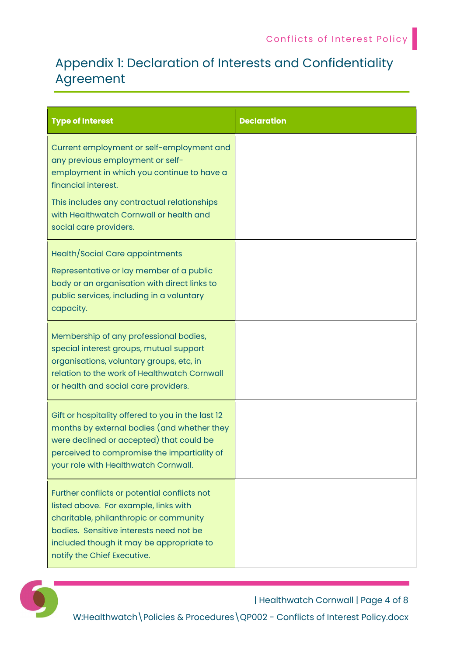# Appendix 1: Declaration of Interests and Confidentiality Agreement

| <b>Type of Interest</b>                                                                                                                                                                                                                                                | <b>Declaration</b> |
|------------------------------------------------------------------------------------------------------------------------------------------------------------------------------------------------------------------------------------------------------------------------|--------------------|
| Current employment or self-employment and<br>any previous employment or self-<br>employment in which you continue to have a<br>financial interest.<br>This includes any contractual relationships<br>with Healthwatch Cornwall or health and<br>social care providers. |                    |
| Health/Social Care appointments<br>Representative or lay member of a public<br>body or an organisation with direct links to<br>public services, including in a voluntary<br>capacity.                                                                                  |                    |
| Membership of any professional bodies,<br>special interest groups, mutual support<br>organisations, voluntary groups, etc, in<br>relation to the work of Healthwatch Cornwall<br>or health and social care providers.                                                  |                    |
| Gift or hospitality offered to you in the last 12<br>months by external bodies (and whether they<br>were declined or accepted) that could be<br>perceived to compromise the impartiality of<br>your role with Healthwatch Cornwall.                                    |                    |
| Further conflicts or potential conflicts not<br>listed above. For example, links with<br>charitable, philanthropic or community<br>bodies. Sensitive interests need not be<br>included though it may be appropriate to<br>notify the Chief Executive.                  |                    |



| Healthwatch Cornwall | Page 4 of 8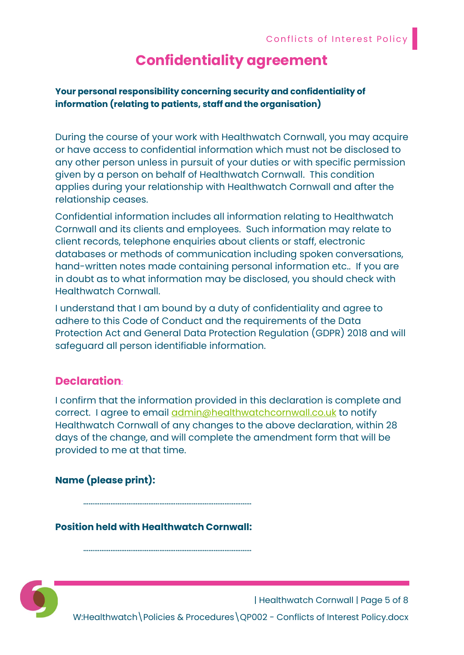# Confidentiality agreement

#### Your personal responsibility concerning security and confidentiality of information (relating to patients, staff and the organisation)

During the course of your work with Healthwatch Cornwall, you may acquire or have access to confidential information which must not be disclosed to any other person unless in pursuit of your duties or with specific permission given by a person on behalf of Healthwatch Cornwall. This condition applies during your relationship with Healthwatch Cornwall and after the relationship ceases.

Confidential information includes all information relating to Healthwatch Cornwall and its clients and employees. Such information may relate to client records, telephone enquiries about clients or staff, electronic databases or methods of communication including spoken conversations, hand-written notes made containing personal information etc.. If you are in doubt as to what information may be disclosed, you should check with Healthwatch Cornwall.

I understand that I am bound by a duty of confidentiality and agree to adhere to this Code of Conduct and the requirements of the Data Protection Act and General Data Protection Regulation (GDPR) 2018 and will safeguard all person identifiable information.

#### Declaration:

I confirm that the information provided in this declaration is complete and correct. I agree to email admin@healthwatchcornwall.co.uk to notify Healthwatch Cornwall of any changes to the above declaration, within 28 days of the change, and will complete the amendment form that will be provided to me at that time.

#### Name (please print):

Position held with Healthwatch Cornwall:

…………………………………………………………………………………

. The same state of the state of the state of the state of the state of the state of the state of the state of the state of the state of the state of the state of the state of the state of the state of the state of the st



| Healthwatch Cornwall | Page 5 of 8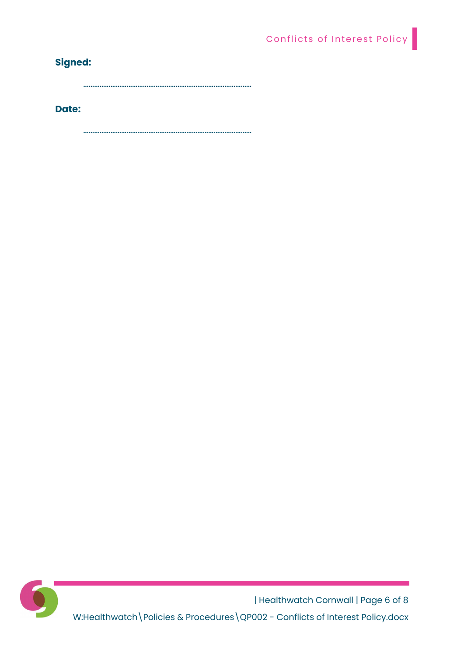## Signed:

…………………………………………………………………………………

#### Date:

…………………………………………………………………………………



| Healthwatch Cornwall | Page 6 of 8 W:Healthwatch\Policies & Procedures\QP002 - Conflicts of Interest Policy.docx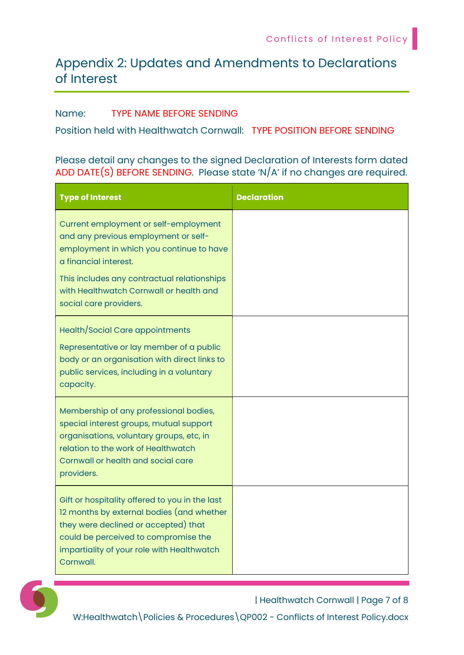# Appendix 2: Updates and Amendments to Declarations of Interest

#### Name: TYPE NAME BEFORE SENDING

Position held with Healthwatch Cornwall: TYPE POSITION BEFORE SENDING

#### Please detail any changes to the signed Declaration of Interests form dated ADD DATE(S) BEFORE SENDING. Please state 'N/A' if no changes are required.

| <b>Type of Interest</b>                                                                                                                                                                                                                                                | <b>Declaration</b> |
|------------------------------------------------------------------------------------------------------------------------------------------------------------------------------------------------------------------------------------------------------------------------|--------------------|
| Current employment or self-employment<br>and any previous employment or self-<br>employment in which you continue to have<br>a financial interest.<br>This includes any contractual relationships<br>with Healthwatch Cornwall or health and<br>social care providers. |                    |
| Health/Social Care appointments<br>Representative or lay member of a public<br>body or an organisation with direct links to<br>public services, including in a voluntary<br>capacity.                                                                                  |                    |
| Membership of any professional bodies,<br>special interest groups, mutual support<br>organisations, voluntary groups, etc, in<br>relation to the work of Healthwatch<br>Cornwall or health and social care<br>providers.                                               |                    |
| Gift or hospitality offered to you in the last<br>12 months by external bodies (and whether<br>they were declined or accepted) that<br>could be perceived to compromise the<br>impartiality of your role with Healthwatch<br>Cornwall.                                 |                    |



| Healthwatch Cornwall | Page 7 of 8